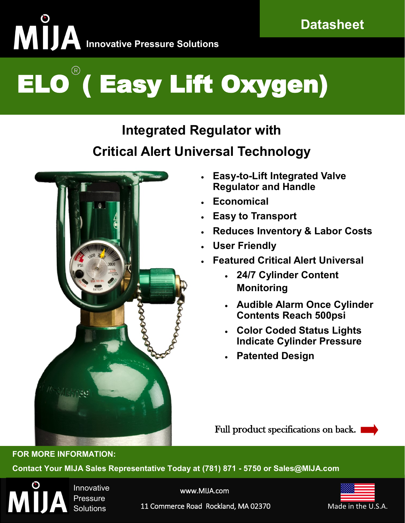# **INNOVAL Innovative Pressure Solutions**

## ELO ( Easy Lift Oxygen)

### **Integrated Regulator with Critical Alert Universal Technology**



- **Easy-to-Lift Integrated Valve Regulator and Handle**
- **Economical**
- **Easy to Transport**
- **Reduces Inventory & Labor Costs**
- **User Friendly**
- **Featured Critical Alert Universal** 
	- **24/7 Cylinder Content Monitoring**
	- **Audible Alarm Once Cylinder Contents Reach 500psi**
	- **Color Coded Status Lights Indicate Cylinder Pressure**
	- **Patented Design**

Full product specifications on back.

**Contact Your MIJA Sales Representative Today at (781) 871 - 5750 or Sales@MIJA.com**



**FOR MORE INFORMATION:**

Innovative Pressure **Solutions** 

www.MIJA.com



11 Commerce Road Rockland, MA 02370 Made in the U.S.A.